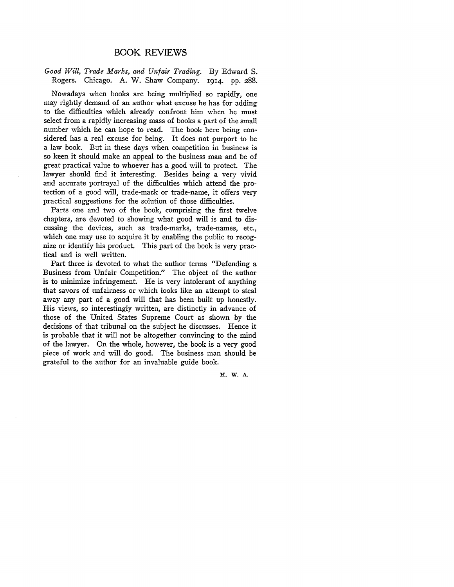## BOOK REVIEWS

## *Good Will, Trade Marks, and Unfair Trading.* By Edward S. Rogers. Chicago. A. W. Shaw Company. **1914.** pp. 288.

Nowadays when books are being multiplied so rapidly, one may rightly demand of an author what excuse he has for adding to the difficulties which already confront him when he must select from a rapidly increasing mass of books a part of the small number which he can hope to read. The book here being considered has a real excuse for being. It does not purport to be a law book. But in these days when competition in business is so keen it should make an appeal to the business man and be of great practical value to whoever has a good will to protect. The lawyer should find it interesting. Besides being a very vivid and accurate portrayal of the difficulties which attend the protection of a good will, trade-mark or trade-name, it offers very practical suggestions for the solution of those difficulties.

Parts one and two of the book, comprising the first twelve chapters, are devoted to showing what good will is and to discussing the devices, such as trade-marks, trade-names, etc., which one may use to acquire it by enabling the public to recognize or identify his product. This part of the book is very practical and is well written.

Part three is devoted to what the author terms "Defending a Business from Unfair Competition." The object of the author is to minimize infringement. He is very intolerant of anything that savors of unfairness or which looks like an attempt to steal away any part of a good will that has been built up honestly. His views, so interestingly written, are distinctly in advance of those of the United States Supreme Court as shown by the decisions of that tribunal on the subject he discusses. Hence it is probable that it will not be altogether convincing to the mind of the lawyer. On the whole, however, the book is a very good piece of work and will do good. The business man should be grateful to the author for an invaluable guide book.

**1H.** W. **A.**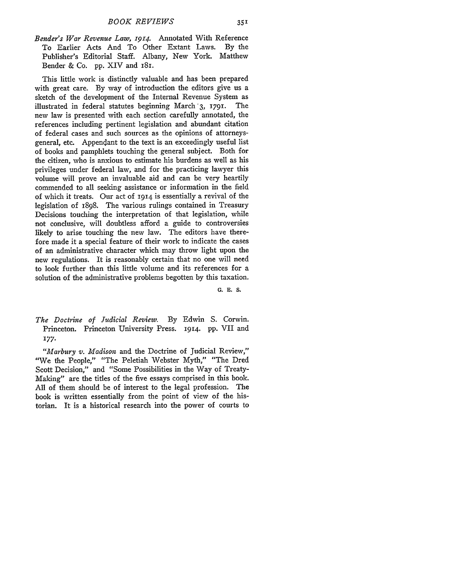*Bender's War Revenue Law, 1914.* Annotated With Reference To Earlier Acts And To Other Extant Laws. **By** the Publisher's Editorial Staff. Albany, New York. Matthew Bender & Co. **pp.** XIV and 181.

This little work is distinctly valuable and has been prepared with great care. **By** way of introduction the editors give us a sketch of the development of the Internal Revenue System as illustrated in federal statutes beginning March'3, **1791.** The new law is presented with each section carefully annotated, the references including pertinent legislation and abundant citation of federal cases and such sources as the opinions of attorneysgeneral, etc. Appendant to the text is an exceedingly useful list of books and pamphlets touching the general subject. Both for the citizen, who is anxious to estimate his burdens as well as his privileges under federal law, and for the practicing lawyer this volume will prove an invaluable aid and can be very heartily commended to all seeking assistance or information in the field of which it treats. Our act of 1914 is essentially a revival of the legislation of 1898. The various rulings contained in Treasury Decisions touching the interpretation of that legislation, while not conclusive, will doubtless afford a guide to controversies likely to arise touching the new law. The editors have therefore made it a special feature of their work to indicate the cases of an administrative character which may throw light upon the new regulations. It is reasonably certain that no one will need to look further than this little volume and its references for a solution of the administrative problems begotten by this taxation.

**G. E. S.**

*The Doctrine of Judicial Review.* By Edwin **S.** Corwin. Princeton. Princeton University Press. 1914. **pp.** VII and **177.**

*"Marbury v. Madison* and the Doctrine of Judicial Review," "We the People," "The Peletiah Webster Myth," "The Dred Scott Decision," and "Some Possibilities in the Way of Treaty-Making" are the titles of the five essays comprised in this book. **All** of them should be of interest to the legal profession. The book is written essentially from the point of view of the historian. It is a historical research into the power of courts to